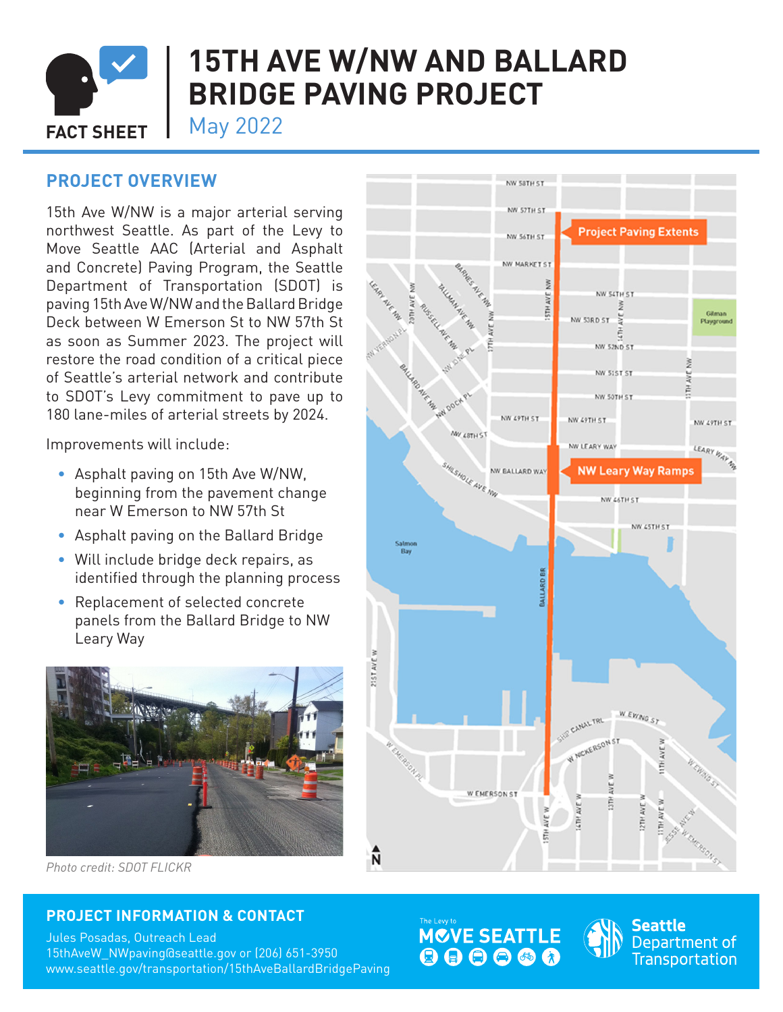

# **15TH AVE W/NW AND BALLARD BRIDGE PAVING PROJECT**

**FACT SHEET** May 2022

# **PROJECT OVERVIEW**

15th Ave W/NW is a major arterial serving northwest Seattle. As part of the Levy to Move Seattle AAC (Arterial and Asphalt and Concrete) Paving Program, the Seattle Department of Transportation (SDOT) is paving 15th Ave W/NW and the Ballard Bridge Deck between W Emerson St to NW 57th St as soon as Summer 2023. The project will restore the road condition of a critical piece of Seattle's arterial network and contribute to SDOT's Levy commitment to pave up to 180 lane-miles of arterial streets by 2024.

Improvements will include:

- Asphalt paving on 15th Ave W/NW, beginning from the pavement change near W Emerson to NW 57th St
- Asphalt paving on the Ballard Bridge
- Will include bridge deck repairs, as identified through the planning process
- Replacement of selected concrete panels from the Ballard Bridge to NW Leary Way



*Photo credit: SDOT FLICKR*

## **PROJECT INFORMATION & CONTACT**

Jules Posadas, Outreach Lead 15thAveW\_NWpaving@seattle.gov or (206) 651-3950 www.seattle.gov/transportation/15thAveBallardBridgePaving







Seattle Department of Transportation